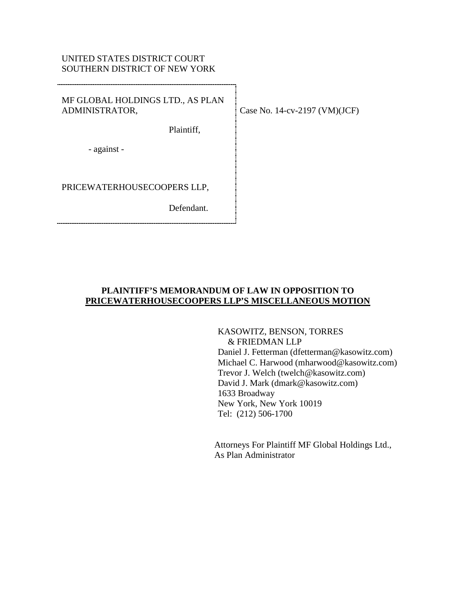## UNITED STATES DISTRICT COURT SOUTHERN DISTRICT OF NEW YORK

MF GLOBAL HOLDINGS LTD., AS PLAN ADMINISTRATOR,

Plaintiff,

- against -

PRICEWATERHOUSECOOPERS LLP,

Defendant.

Case No. 14-cv-2197 (VM)(JCF)

## **PLAINTIFF'S MEMORANDUM OF LAW IN OPPOSITION TO PRICEWATERHOUSECOOPERS LLP'S MISCELLANEOUS MOTION**

KASOWITZ, BENSON, TORRES & FRIEDMAN LLP

Daniel J. Fetterman (dfetterman@kasowitz.com) Michael C. Harwood (mharwood@kasowitz.com) Trevor J. Welch (twelch@kasowitz.com) David J. Mark (dmark@kasowitz.com) 1633 Broadway New York, New York 10019 Tel: (212) 506-1700

Attorneys For Plaintiff MF Global Holdings Ltd., As Plan Administrator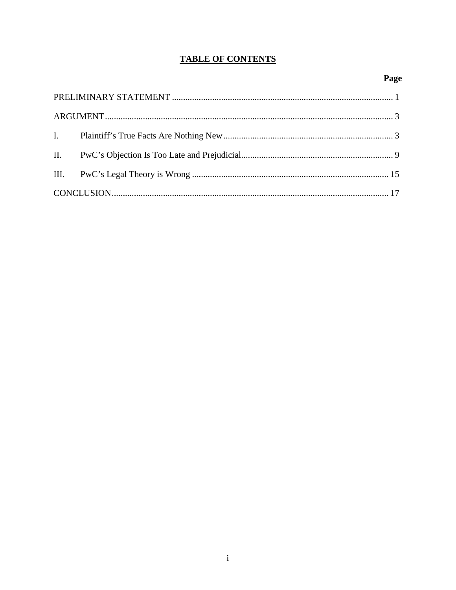# **TABLE OF CONTENTS**

# Page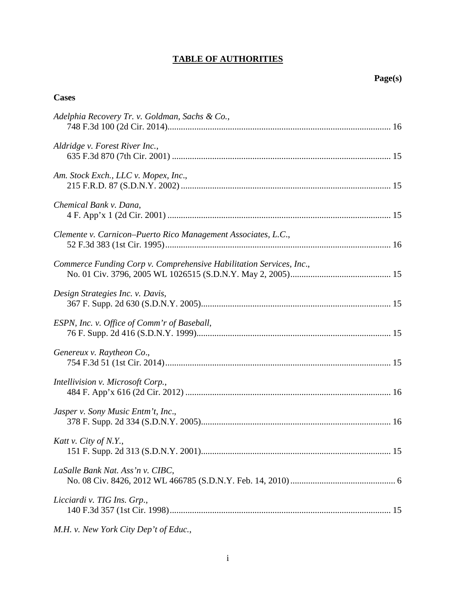# **TABLE OF AUTHORITIES**

## **Cases**

| Adelphia Recovery Tr. v. Goldman, Sachs & Co.,                      |
|---------------------------------------------------------------------|
| Aldridge v. Forest River Inc.,                                      |
| Am. Stock Exch., LLC v. Mopex, Inc.,                                |
| Chemical Bank v. Dana,                                              |
| Clemente v. Carnicon–Puerto Rico Management Associates, L.C.,       |
| Commerce Funding Corp v. Comprehensive Habilitation Services, Inc., |
| Design Strategies Inc. v. Davis,                                    |
| ESPN, Inc. v. Office of Comm'r of Baseball,                         |
| Genereux v. Raytheon Co.,                                           |
| Intellivision v. Microsoft Corp.,                                   |
| Jasper v. Sony Music Entm't, Inc.,                                  |
| Katt v. City of N.Y.,                                               |
| LaSalle Bank Nat. Ass'n v. CIBC,                                    |
| Licciardi v. TIG Ins. Grp.,                                         |

*M.H. v. New York City Dep't of Educ.*,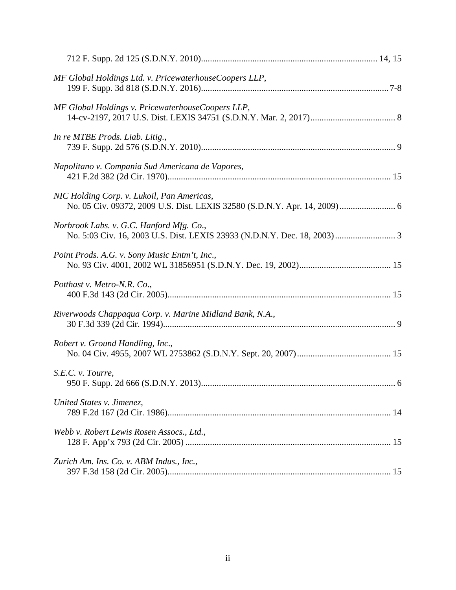| MF Global Holdings Ltd. v. PricewaterhouseCoopers LLP,                                                                  |  |
|-------------------------------------------------------------------------------------------------------------------------|--|
| MF Global Holdings v. PricewaterhouseCoopers LLP,                                                                       |  |
| In re MTBE Prods. Liab. Litig.,                                                                                         |  |
| Napolitano v. Compania Sud Americana de Vapores,                                                                        |  |
| NIC Holding Corp. v. Lukoil, Pan Americas,<br>No. 05 Civ. 09372, 2009 U.S. Dist. LEXIS 32580 (S.D.N.Y. Apr. 14, 2009) 6 |  |
| Norbrook Labs. v. G.C. Hanford Mfg. Co.,                                                                                |  |
| Point Prods. A.G. v. Sony Music Entm't, Inc.,                                                                           |  |
| Potthast v. Metro-N.R. Co.,                                                                                             |  |
| Riverwoods Chappaqua Corp. v. Marine Midland Bank, N.A.,                                                                |  |
| Robert v. Ground Handling, Inc.,                                                                                        |  |
| S.E.C. v. Tourre,                                                                                                       |  |
| United States v. Jimenez,                                                                                               |  |
| Webb v. Robert Lewis Rosen Assocs., Ltd.,                                                                               |  |
| Zurich Am. Ins. Co. v. ABM Indus., Inc.,                                                                                |  |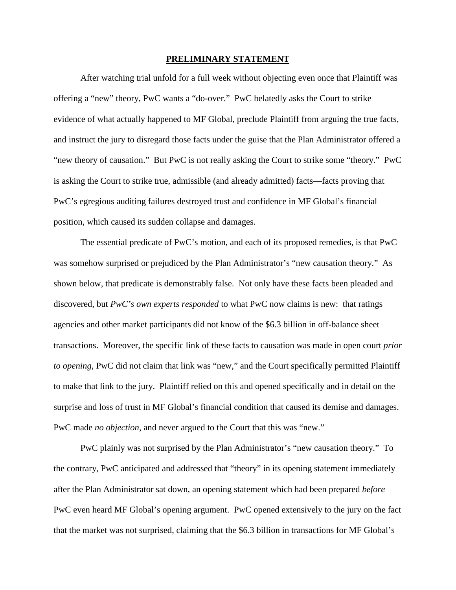#### **PRELIMINARY STATEMENT**

After watching trial unfold for a full week without objecting even once that Plaintiff was offering a "new" theory, PwC wants a "do-over." PwC belatedly asks the Court to strike evidence of what actually happened to MF Global, preclude Plaintiff from arguing the true facts, and instruct the jury to disregard those facts under the guise that the Plan Administrator offered a "new theory of causation." But PwC is not really asking the Court to strike some "theory." PwC is asking the Court to strike true, admissible (and already admitted) facts—facts proving that PwC's egregious auditing failures destroyed trust and confidence in MF Global's financial position, which caused its sudden collapse and damages.

The essential predicate of PwC's motion, and each of its proposed remedies, is that PwC was somehow surprised or prejudiced by the Plan Administrator's "new causation theory." As shown below, that predicate is demonstrably false. Not only have these facts been pleaded and discovered, but *PwC's own experts responded* to what PwC now claims is new: that ratings agencies and other market participants did not know of the \$6.3 billion in off-balance sheet transactions. Moreover, the specific link of these facts to causation was made in open court *prior to opening*, PwC did not claim that link was "new," and the Court specifically permitted Plaintiff to make that link to the jury. Plaintiff relied on this and opened specifically and in detail on the surprise and loss of trust in MF Global's financial condition that caused its demise and damages. PwC made *no objection*, and never argued to the Court that this was "new."

PwC plainly was not surprised by the Plan Administrator's "new causation theory." To the contrary, PwC anticipated and addressed that "theory" in its opening statement immediately after the Plan Administrator sat down, an opening statement which had been prepared *before* PwC even heard MF Global's opening argument. PwC opened extensively to the jury on the fact that the market was not surprised, claiming that the \$6.3 billion in transactions for MF Global's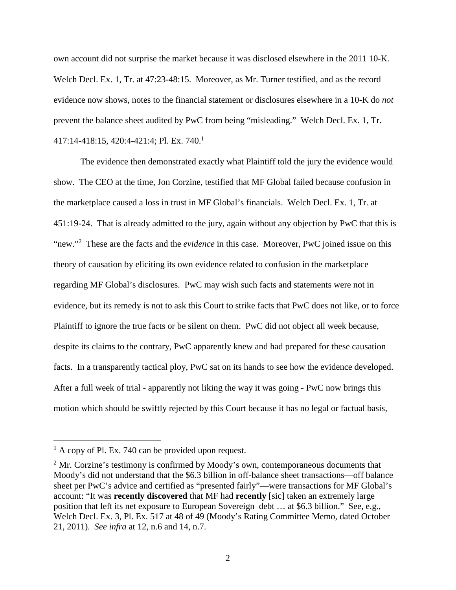own account did not surprise the market because it was disclosed elsewhere in the 2011 10-K. Welch Decl. Ex. 1, Tr. at 47:23-48:15. Moreover, as Mr. Turner testified, and as the record evidence now shows, notes to the financial statement or disclosures elsewhere in a 10-K do *not* prevent the balance sheet audited by PwC from being "misleading." Welch Decl. Ex. 1, Tr. 417:14-418:15, 420:4-421:4; Pl. Ex. 740.<sup>1</sup>

The evidence then demonstrated exactly what Plaintiff told the jury the evidence would show. The CEO at the time, Jon Corzine, testified that MF Global failed because confusion in the marketplace caused a loss in trust in MF Global's financials. Welch Decl. Ex. 1, Tr. at 451:19-24. That is already admitted to the jury, again without any objection by PwC that this is "new."<sup>2</sup> These are the facts and the *evidence* in this case. Moreover, PwC joined issue on this theory of causation by eliciting its own evidence related to confusion in the marketplace regarding MF Global's disclosures. PwC may wish such facts and statements were not in evidence, but its remedy is not to ask this Court to strike facts that PwC does not like, or to force Plaintiff to ignore the true facts or be silent on them. PwC did not object all week because, despite its claims to the contrary, PwC apparently knew and had prepared for these causation facts. In a transparently tactical ploy, PwC sat on its hands to see how the evidence developed. After a full week of trial - apparently not liking the way it was going - PwC now brings this motion which should be swiftly rejected by this Court because it has no legal or factual basis,

 $<sup>1</sup>$  A copy of Pl. Ex. 740 can be provided upon request.</sup>

 $2<sup>2</sup>$  Mr. Corzine's testimony is confirmed by Moody's own, contemporaneous documents that Moody's did not understand that the \$6.3 billion in off-balance sheet transactions—off balance sheet per PwC's advice and certified as "presented fairly"—were transactions for MF Global's account: "It was **recently discovered** that MF had **recently** [sic] taken an extremely large position that left its net exposure to European Sovereign debt … at \$6.3 billion." See, e.g., Welch Decl. Ex. 3, Pl. Ex. 517 at 48 of 49 (Moody's Rating Committee Memo, dated October 21, 2011). *See infra* at 12, n.6 and 14, n.7.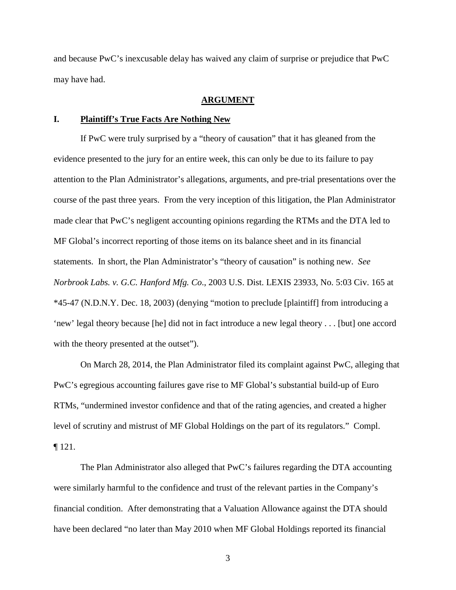and because PwC's inexcusable delay has waived any claim of surprise or prejudice that PwC may have had.

#### **ARGUMENT**

#### **I. Plaintiff's True Facts Are Nothing New**

If PwC were truly surprised by a "theory of causation" that it has gleaned from the evidence presented to the jury for an entire week, this can only be due to its failure to pay attention to the Plan Administrator's allegations, arguments, and pre-trial presentations over the course of the past three years. From the very inception of this litigation, the Plan Administrator made clear that PwC's negligent accounting opinions regarding the RTMs and the DTA led to MF Global's incorrect reporting of those items on its balance sheet and in its financial statements. In short, the Plan Administrator's "theory of causation" is nothing new. *See Norbrook Labs. v. G.C. Hanford Mfg. Co*., 2003 U.S. Dist. LEXIS 23933, No. 5:03 Civ. 165 at \*45-47 (N.D.N.Y. Dec. 18, 2003) (denying "motion to preclude [plaintiff] from introducing a 'new' legal theory because [he] did not in fact introduce a new legal theory . . . [but] one accord with the theory presented at the outset").

On March 28, 2014, the Plan Administrator filed its complaint against PwC, alleging that PwC's egregious accounting failures gave rise to MF Global's substantial build-up of Euro RTMs, "undermined investor confidence and that of the rating agencies, and created a higher level of scrutiny and mistrust of MF Global Holdings on the part of its regulators." Compl. ¶ 121.

The Plan Administrator also alleged that PwC's failures regarding the DTA accounting were similarly harmful to the confidence and trust of the relevant parties in the Company's financial condition. After demonstrating that a Valuation Allowance against the DTA should have been declared "no later than May 2010 when MF Global Holdings reported its financial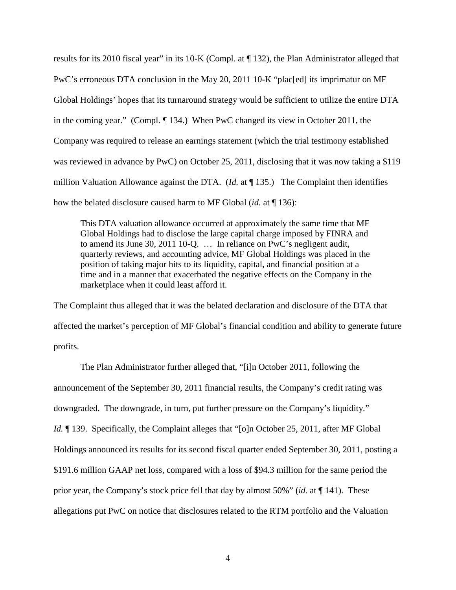results for its 2010 fiscal year" in its 10-K (Compl. at ¶ 132), the Plan Administrator alleged that PwC's erroneous DTA conclusion in the May 20, 2011 10-K "plac[ed] its imprimatur on MF Global Holdings' hopes that its turnaround strategy would be sufficient to utilize the entire DTA in the coming year." (Compl. ¶ 134.) When PwC changed its view in October 2011, the Company was required to release an earnings statement (which the trial testimony established was reviewed in advance by PwC) on October 25, 2011, disclosing that it was now taking a \$119 million Valuation Allowance against the DTA. (*Id.* at ¶ 135.) The Complaint then identifies how the belated disclosure caused harm to MF Global (*id.* at ¶ 136):

This DTA valuation allowance occurred at approximately the same time that MF Global Holdings had to disclose the large capital charge imposed by FINRA and to amend its June 30, 2011 10-Q. … In reliance on PwC's negligent audit, quarterly reviews, and accounting advice, MF Global Holdings was placed in the position of taking major hits to its liquidity, capital, and financial position at a time and in a manner that exacerbated the negative effects on the Company in the marketplace when it could least afford it.

The Complaint thus alleged that it was the belated declaration and disclosure of the DTA that affected the market's perception of MF Global's financial condition and ability to generate future profits.

The Plan Administrator further alleged that, "[i]n October 2011, following the announcement of the September 30, 2011 financial results, the Company's credit rating was downgraded. The downgrade, in turn, put further pressure on the Company's liquidity." *Id.*  $\parallel$  139. Specifically, the Complaint alleges that "[o]n October 25, 2011, after MF Global Holdings announced its results for its second fiscal quarter ended September 30, 2011, posting a \$191.6 million GAAP net loss, compared with a loss of \$94.3 million for the same period the prior year, the Company's stock price fell that day by almost 50%" (*id.* at ¶ 141). These allegations put PwC on notice that disclosures related to the RTM portfolio and the Valuation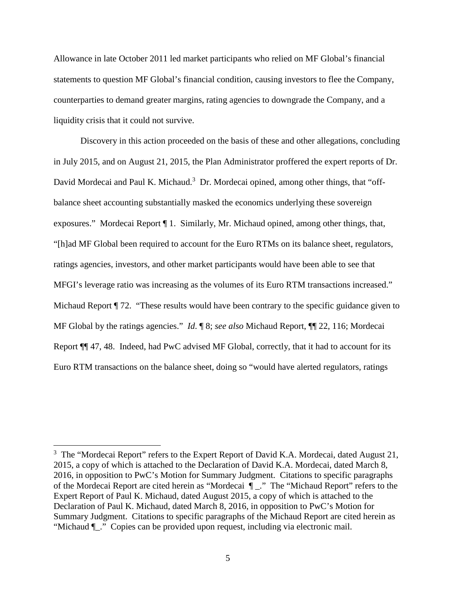Allowance in late October 2011 led market participants who relied on MF Global's financial statements to question MF Global's financial condition, causing investors to flee the Company, counterparties to demand greater margins, rating agencies to downgrade the Company, and a liquidity crisis that it could not survive.

Discovery in this action proceeded on the basis of these and other allegations, concluding in July 2015, and on August 21, 2015, the Plan Administrator proffered the expert reports of Dr. David Mordecai and Paul K. Michaud.<sup>3</sup> Dr. Mordecai opined, among other things, that "offbalance sheet accounting substantially masked the economics underlying these sovereign exposures." Mordecai Report ¶ 1. Similarly, Mr. Michaud opined, among other things, that, "[h]ad MF Global been required to account for the Euro RTMs on its balance sheet, regulators, ratings agencies, investors, and other market participants would have been able to see that MFGI's leverage ratio was increasing as the volumes of its Euro RTM transactions increased." Michaud Report  $\P$  72. "These results would have been contrary to the specific guidance given to MF Global by the ratings agencies." *Id*. ¶ 8; *see also* Michaud Report, ¶¶ 22, 116; Mordecai Report ¶¶ 47, 48. Indeed, had PwC advised MF Global, correctly, that it had to account for its Euro RTM transactions on the balance sheet, doing so "would have alerted regulators, ratings

 $3$  The "Mordecai Report" refers to the Expert Report of David K.A. Mordecai, dated August 21, 2015, a copy of which is attached to the Declaration of David K.A. Mordecai, dated March 8, 2016, in opposition to PwC's Motion for Summary Judgment. Citations to specific paragraphs of the Mordecai Report are cited herein as "Mordecai ¶ \_." The "Michaud Report" refers to the Expert Report of Paul K. Michaud, dated August 2015, a copy of which is attached to the Declaration of Paul K. Michaud, dated March 8, 2016, in opposition to PwC's Motion for Summary Judgment. Citations to specific paragraphs of the Michaud Report are cited herein as "Michaud ¶\_." Copies can be provided upon request, including via electronic mail.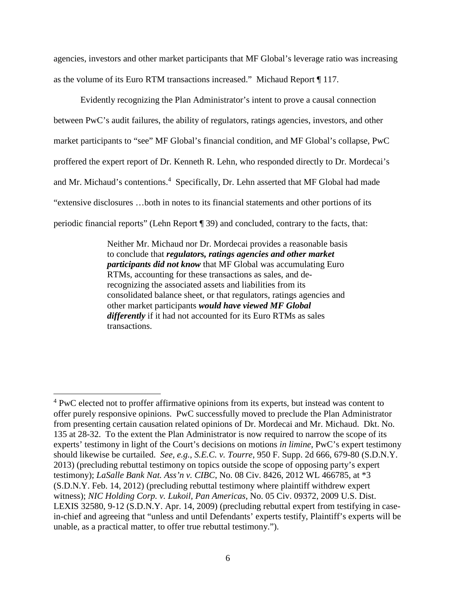agencies, investors and other market participants that MF Global's leverage ratio was increasing as the volume of its Euro RTM transactions increased." Michaud Report ¶ 117.

Evidently recognizing the Plan Administrator's intent to prove a causal connection between PwC's audit failures, the ability of regulators, ratings agencies, investors, and other market participants to "see" MF Global's financial condition, and MF Global's collapse, PwC proffered the expert report of Dr. Kenneth R. Lehn, who responded directly to Dr. Mordecai's and Mr. Michaud's contentions.<sup>4</sup> Specifically, Dr. Lehn asserted that MF Global had made "extensive disclosures …both in notes to its financial statements and other portions of its periodic financial reports" (Lehn Report ¶ 39) and concluded, contrary to the facts, that:

> Neither Mr. Michaud nor Dr. Mordecai provides a reasonable basis to conclude that *regulators, ratings agencies and other market participants did not know* that MF Global was accumulating Euro RTMs, accounting for these transactions as sales, and derecognizing the associated assets and liabilities from its consolidated balance sheet, or that regulators, ratings agencies and other market participants *would have viewed MF Global differently* if it had not accounted for its Euro RTMs as sales transactions.

<sup>&</sup>lt;sup>4</sup> PwC elected not to proffer affirmative opinions from its experts, but instead was content to offer purely responsive opinions. PwC successfully moved to preclude the Plan Administrator from presenting certain causation related opinions of Dr. Mordecai and Mr. Michaud. Dkt. No. 135 at 28-32. To the extent the Plan Administrator is now required to narrow the scope of its experts' testimony in light of the Court's decisions on motions *in limine*, PwC's expert testimony should likewise be curtailed. *See, e.g.*, *S.E.C. v. Tourre*, 950 F. Supp. 2d 666, 679-80 (S.D.N.Y. 2013) (precluding rebuttal testimony on topics outside the scope of opposing party's expert testimony); *LaSalle Bank Nat. Ass'n v. CIBC*, No. 08 Civ. 8426, 2012 WL 466785, at \*3 (S.D.N.Y. Feb. 14, 2012) (precluding rebuttal testimony where plaintiff withdrew expert witness); *NIC Holding Corp. v. Lukoil, Pan Americas*, No. 05 Civ. 09372, 2009 U.S. Dist. LEXIS 32580, 9-12 (S.D.N.Y. Apr. 14, 2009) (precluding rebuttal expert from testifying in casein-chief and agreeing that "unless and until Defendants' experts testify, Plaintiff's experts will be unable, as a practical matter, to offer true rebuttal testimony.").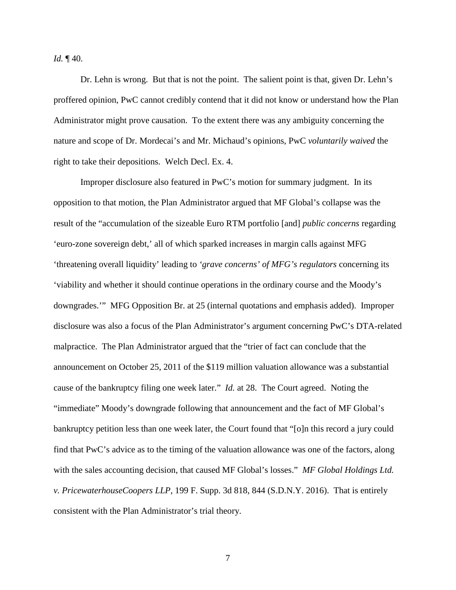*Id.* ¶ 40.

Dr. Lehn is wrong. But that is not the point. The salient point is that, given Dr. Lehn's proffered opinion, PwC cannot credibly contend that it did not know or understand how the Plan Administrator might prove causation. To the extent there was any ambiguity concerning the nature and scope of Dr. Mordecai's and Mr. Michaud's opinions, PwC *voluntarily waived* the right to take their depositions. Welch Decl. Ex. 4.

Improper disclosure also featured in PwC's motion for summary judgment. In its opposition to that motion, the Plan Administrator argued that MF Global's collapse was the result of the "accumulation of the sizeable Euro RTM portfolio [and] *public concerns* regarding 'euro-zone sovereign debt,' all of which sparked increases in margin calls against MFG 'threatening overall liquidity' leading to *'grave concerns' of MFG's regulators* concerning its 'viability and whether it should continue operations in the ordinary course and the Moody's downgrades.'" MFG Opposition Br. at 25 (internal quotations and emphasis added). Improper disclosure was also a focus of the Plan Administrator's argument concerning PwC's DTA-related malpractice. The Plan Administrator argued that the "trier of fact can conclude that the announcement on October 25, 2011 of the \$119 million valuation allowance was a substantial cause of the bankruptcy filing one week later." *Id.* at 28. The Court agreed. Noting the "immediate" Moody's downgrade following that announcement and the fact of MF Global's bankruptcy petition less than one week later, the Court found that "[o]n this record a jury could find that PwC's advice as to the timing of the valuation allowance was one of the factors, along with the sales accounting decision, that caused MF Global's losses." *MF Global Holdings Ltd. v. PricewaterhouseCoopers LLP*, 199 F. Supp. 3d 818, 844 (S.D.N.Y. 2016). That is entirely consistent with the Plan Administrator's trial theory.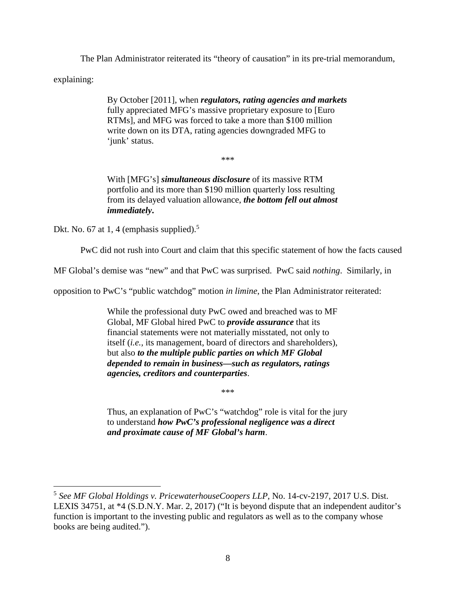The Plan Administrator reiterated its "theory of causation" in its pre-trial memorandum,

explaining:

By October [2011], when *regulators, rating agencies and markets* fully appreciated MFG's massive proprietary exposure to [Euro RTMs], and MFG was forced to take a more than \$100 million write down on its DTA, rating agencies downgraded MFG to 'junk' status.

\*\*\*

With [MFG's] *simultaneous disclosure* of its massive RTM portfolio and its more than \$190 million quarterly loss resulting from its delayed valuation allowance, *the bottom fell out almost immediately***.**

Dkt. No. 67 at 1, 4 (emphasis supplied).<sup>5</sup>

PwC did not rush into Court and claim that this specific statement of how the facts caused

MF Global's demise was "new" and that PwC was surprised. PwC said *nothing*. Similarly, in

opposition to PwC's "public watchdog" motion *in limine*, the Plan Administrator reiterated:

While the professional duty PwC owed and breached was to MF Global, MF Global hired PwC to *provide assurance* that its financial statements were not materially misstated, not only to itself (*i.e.,* its management, board of directors and shareholders), but also *to the multiple public parties on which MF Global depended to remain in business—such as regulators, ratings agencies, creditors and counterparties*.

\*\*\*

Thus, an explanation of PwC's "watchdog" role is vital for the jury to understand *how PwC's professional negligence was a direct and proximate cause of MF Global's harm*.

<sup>5</sup> *See MF Global Holdings v. PricewaterhouseCoopers LLP*, No. 14-cv-2197, 2017 U.S. Dist. LEXIS 34751, at \*4 (S.D.N.Y. Mar. 2, 2017) ("It is beyond dispute that an independent auditor's function is important to the investing public and regulators as well as to the company whose books are being audited.").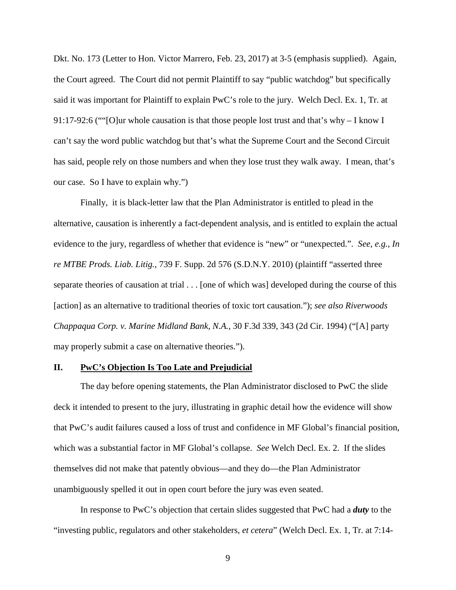Dkt. No. 173 (Letter to Hon. Victor Marrero, Feb. 23, 2017) at 3-5 (emphasis supplied). Again, the Court agreed. The Court did not permit Plaintiff to say "public watchdog" but specifically said it was important for Plaintiff to explain PwC's role to the jury. Welch Decl. Ex. 1, Tr. at 91:17-92:6 (""[O]ur whole causation is that those people lost trust and that's why – I know I can't say the word public watchdog but that's what the Supreme Court and the Second Circuit has said, people rely on those numbers and when they lose trust they walk away. I mean, that's our case. So I have to explain why.")

Finally, it is black-letter law that the Plan Administrator is entitled to plead in the alternative, causation is inherently a fact-dependent analysis, and is entitled to explain the actual evidence to the jury, regardless of whether that evidence is "new" or "unexpected.". *See, e.g., In re MTBE Prods. Liab. Litig.*, 739 F. Supp. 2d 576 (S.D.N.Y. 2010) (plaintiff "asserted three separate theories of causation at trial . . . [one of which was] developed during the course of this [action] as an alternative to traditional theories of toxic tort causation."); *see also Riverwoods Chappaqua Corp. v. Marine Midland Bank, N.A.*, 30 F.3d 339, 343 (2d Cir. 1994) ("[A] party may properly submit a case on alternative theories.").

#### **II. PwC's Objection Is Too Late and Prejudicial**

The day before opening statements, the Plan Administrator disclosed to PwC the slide deck it intended to present to the jury, illustrating in graphic detail how the evidence will show that PwC's audit failures caused a loss of trust and confidence in MF Global's financial position, which was a substantial factor in MF Global's collapse. *See* Welch Decl. Ex. 2. If the slides themselves did not make that patently obvious—and they do—the Plan Administrator unambiguously spelled it out in open court before the jury was even seated.

In response to PwC's objection that certain slides suggested that PwC had a *duty* to the "investing public, regulators and other stakeholders, *et cetera*" (Welch Decl. Ex. 1, Tr. at 7:14-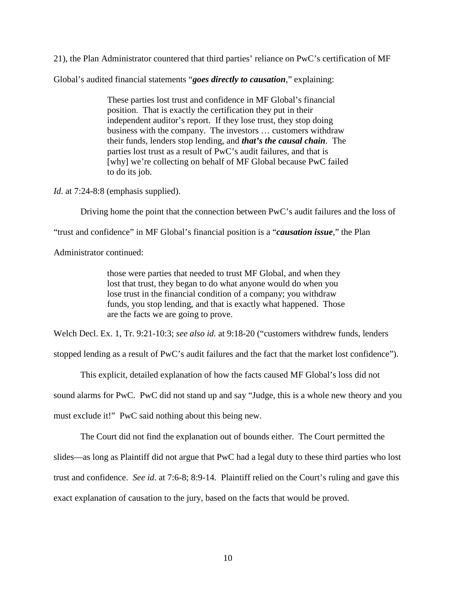21), the Plan Administrator countered that third parties' reliance on PwC's certification of MF

Global's audited financial statements "*goes directly to causation*," explaining:

These parties lost trust and confidence in MF Global's financial position. That is exactly the certification they put in their independent auditor's report. If they lose trust, they stop doing business with the company. The investors … customers withdraw their funds, lenders stop lending, and *that's the causal chain*. The parties lost trust as a result of PwC's audit failures, and that is [why] we're collecting on behalf of MF Global because PwC failed to do its job.

*Id.* at 7:24-8:8 (emphasis supplied).

Driving home the point that the connection between PwC's audit failures and the loss of

"trust and confidence" in MF Global's financial position is a "*causation issue*," the Plan

Administrator continued:

those were parties that needed to trust MF Global, and when they lost that trust, they began to do what anyone would do when you lose trust in the financial condition of a company; you withdraw funds, you stop lending, and that is exactly what happened. Those are the facts we are going to prove.

Welch Decl. Ex. 1, Tr. 9:21-10:3; *see also id.* at 9:18-20 ("customers withdrew funds, lenders

stopped lending as a result of PwC's audit failures and the fact that the market lost confidence").

This explicit, detailed explanation of how the facts caused MF Global's loss did not

sound alarms for PwC. PwC did not stand up and say "Judge, this is a whole new theory and you

must exclude it!" PwC said nothing about this being new.

The Court did not find the explanation out of bounds either. The Court permitted the

slides—as long as Plaintiff did not argue that PwC had a legal duty to these third parties who lost

trust and confidence. *See id*. at 7:6-8; 8:9-14. Plaintiff relied on the Court's ruling and gave this

exact explanation of causation to the jury, based on the facts that would be proved.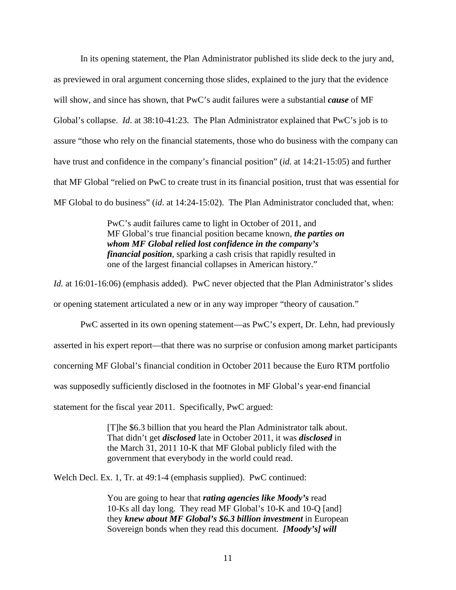In its opening statement, the Plan Administrator published its slide deck to the jury and, as previewed in oral argument concerning those slides, explained to the jury that the evidence will show, and since has shown, that PwC's audit failures were a substantial *cause* of MF Global's collapse. *Id*. at 38:10-41:23. The Plan Administrator explained that PwC's job is to assure "those who rely on the financial statements, those who do business with the company can have trust and confidence in the company's financial position" (*id.* at 14:21-15:05) and further that MF Global "relied on PwC to create trust in its financial position, trust that was essential for MF Global to do business" (*id*. at 14:24-15:02). The Plan Administrator concluded that, when:

> PwC's audit failures came to light in October of 2011, and MF Global's true financial position became known, *the parties on whom MF Global relied lost confidence in the company's financial position*, sparking a cash crisis that rapidly resulted in one of the largest financial collapses in American history."

*Id.* at 16:01-16:06) (emphasis added). PwC never objected that the Plan Administrator's slides or opening statement articulated a new or in any way improper "theory of causation."

PwC asserted in its own opening statement—as PwC's expert, Dr. Lehn, had previously asserted in his expert report—that there was no surprise or confusion among market participants concerning MF Global's financial condition in October 2011 because the Euro RTM portfolio was supposedly sufficiently disclosed in the footnotes in MF Global's year-end financial statement for the fiscal year 2011. Specifically, PwC argued:

> [T]he \$6.3 billion that you heard the Plan Administrator talk about. That didn't get *disclosed* late in October 2011, it was *disclosed* in the March 31, 2011 10-K that MF Global publicly filed with the government that everybody in the world could read.

Welch Decl. Ex. 1, Tr. at 49:1-4 (emphasis supplied). PwC continued:

You are going to hear that *rating agencies like Moody's* read 10-Ks all day long. They read MF Global's 10-K and 10-Q [and] they *knew about MF Global's \$6.3 billion investment* in European Sovereign bonds when they read this document. *[Moody's] will*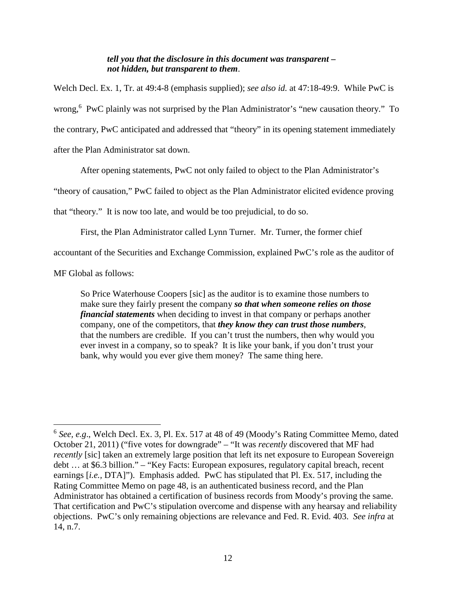## *tell you that the disclosure in this document was transparent – not hidden, but transparent to them*.

Welch Decl. Ex. 1, Tr. at 49:4-8 (emphasis supplied); *see also id.* at 47:18-49:9. While PwC is wrong,<sup>6</sup> PwC plainly was not surprised by the Plan Administrator's "new causation theory." To the contrary, PwC anticipated and addressed that "theory" in its opening statement immediately after the Plan Administrator sat down.

After opening statements, PwC not only failed to object to the Plan Administrator's

"theory of causation," PwC failed to object as the Plan Administrator elicited evidence proving

that "theory." It is now too late, and would be too prejudicial, to do so.

First, the Plan Administrator called Lynn Turner. Mr. Turner, the former chief

accountant of the Securities and Exchange Commission, explained PwC's role as the auditor of

MF Global as follows:

So Price Waterhouse Coopers [sic] as the auditor is to examine those numbers to make sure they fairly present the company *so that when someone relies on those financial statements* when deciding to invest in that company or perhaps another company, one of the competitors, that *they know they can trust those numbers*, that the numbers are credible. If you can't trust the numbers, then why would you ever invest in a company, so to speak? It is like your bank, if you don't trust your bank, why would you ever give them money? The same thing here.

<sup>&</sup>lt;sup>6</sup> See, e.g., Welch Decl. Ex. 3, Pl. Ex. 517 at 48 of 49 (Moody's Rating Committee Memo, dated October 21, 2011) ("five votes for downgrade" – "It was *recently* discovered that MF had *recently* [sic] taken an extremely large position that left its net exposure to European Sovereign debt … at \$6.3 billion." – "Key Facts: European exposures, regulatory capital breach, recent earnings [*i.e.,* DTA]"). Emphasis added. PwC has stipulated that Pl. Ex. 517, including the Rating Committee Memo on page 48, is an authenticated business record, and the Plan Administrator has obtained a certification of business records from Moody's proving the same. That certification and PwC's stipulation overcome and dispense with any hearsay and reliability objections. PwC's only remaining objections are relevance and Fed. R. Evid. 403. *See infra* at 14, n.7.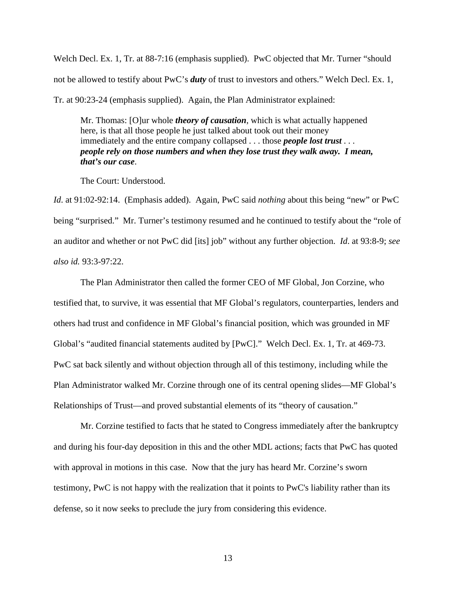Welch Decl. Ex. 1, Tr. at 88-7:16 (emphasis supplied). PwC objected that Mr. Turner "should" not be allowed to testify about PwC's *duty* of trust to investors and others." Welch Decl. Ex. 1, Tr. at 90:23-24 (emphasis supplied). Again, the Plan Administrator explained:

Mr. Thomas: [O]ur whole *theory of causation*, which is what actually happened here, is that all those people he just talked about took out their money immediately and the entire company collapsed . . . those *people lost trust . . . people rely on those numbers and when they lose trust they walk away. I mean, that's our case*.

The Court: Understood.

*Id*. at 91:02-92:14. (Emphasis added). Again, PwC said *nothing* about this being "new" or PwC being "surprised." Mr. Turner's testimony resumed and he continued to testify about the "role of an auditor and whether or not PwC did [its] job" without any further objection. *Id*. at 93:8-9; *see also id.* 93:3-97:22.

The Plan Administrator then called the former CEO of MF Global, Jon Corzine, who testified that, to survive, it was essential that MF Global's regulators, counterparties, lenders and others had trust and confidence in MF Global's financial position, which was grounded in MF Global's "audited financial statements audited by [PwC]." Welch Decl. Ex. 1, Tr. at 469-73. PwC sat back silently and without objection through all of this testimony, including while the Plan Administrator walked Mr. Corzine through one of its central opening slides—MF Global's Relationships of Trust—and proved substantial elements of its "theory of causation."

Mr. Corzine testified to facts that he stated to Congress immediately after the bankruptcy and during his four-day deposition in this and the other MDL actions; facts that PwC has quoted with approval in motions in this case. Now that the jury has heard Mr. Corzine's sworn testimony, PwC is not happy with the realization that it points to PwC's liability rather than its defense, so it now seeks to preclude the jury from considering this evidence.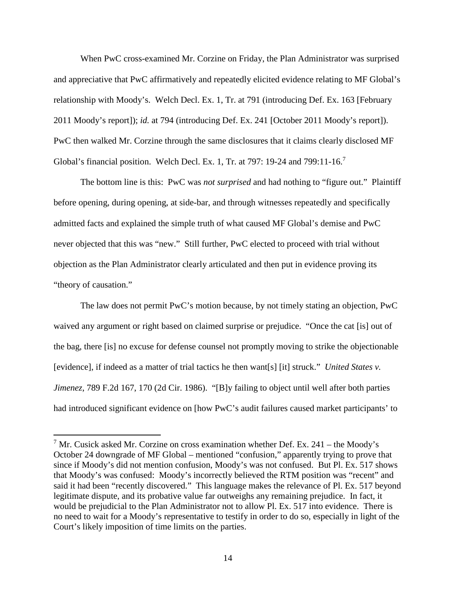When PwC cross-examined Mr. Corzine on Friday, the Plan Administrator was surprised and appreciative that PwC affirmatively and repeatedly elicited evidence relating to MF Global's relationship with Moody's. Welch Decl. Ex. 1, Tr. at 791 (introducing Def. Ex. 163 [February 2011 Moody's report]); *id.* at 794 (introducing Def. Ex. 241 [October 2011 Moody's report]). PwC then walked Mr. Corzine through the same disclosures that it claims clearly disclosed MF Global's financial position. Welch Decl. Ex. 1, Tr. at 797: 19-24 and 799:11-16.<sup>7</sup>

The bottom line is this: PwC was *not surprised* and had nothing to "figure out." Plaintiff before opening, during opening, at side-bar, and through witnesses repeatedly and specifically admitted facts and explained the simple truth of what caused MF Global's demise and PwC never objected that this was "new." Still further, PwC elected to proceed with trial without objection as the Plan Administrator clearly articulated and then put in evidence proving its "theory of causation."

The law does not permit PwC's motion because, by not timely stating an objection, PwC waived any argument or right based on claimed surprise or prejudice. "Once the cat [is] out of the bag, there [is] no excuse for defense counsel not promptly moving to strike the objectionable [evidence], if indeed as a matter of trial tactics he then want[s] [it] struck." *United States v. Jimenez*, 789 F.2d 167, 170 (2d Cir. 1986). "[B]y failing to object until well after both parties had introduced significant evidence on [how PwC's audit failures caused market participants' to

<sup>&</sup>lt;sup>7</sup> Mr. Cusick asked Mr. Corzine on cross examination whether Def. Ex. 241 – the Moody's October 24 downgrade of MF Global – mentioned "confusion," apparently trying to prove that since if Moody's did not mention confusion, Moody's was not confused. But Pl. Ex. 517 shows that Moody's was confused: Moody's incorrectly believed the RTM position was "recent" and said it had been "recently discovered." This language makes the relevance of Pl. Ex. 517 beyond legitimate dispute, and its probative value far outweighs any remaining prejudice. In fact, it would be prejudicial to the Plan Administrator not to allow Pl. Ex. 517 into evidence. There is no need to wait for a Moody's representative to testify in order to do so, especially in light of the Court's likely imposition of time limits on the parties.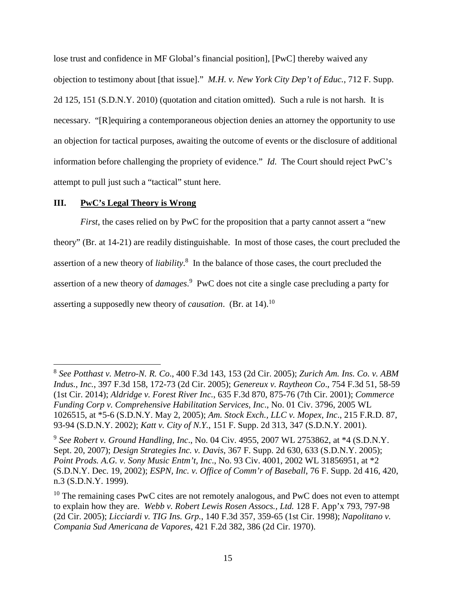lose trust and confidence in MF Global's financial position], [PwC] thereby waived any objection to testimony about [that issue]." *M.H. v. New York City Dep't of Educ.*, 712 F. Supp. 2d 125, 151 (S.D.N.Y. 2010) (quotation and citation omitted). Such a rule is not harsh. It is necessary. "[R]equiring a contemporaneous objection denies an attorney the opportunity to use an objection for tactical purposes, awaiting the outcome of events or the disclosure of additional information before challenging the propriety of evidence." *Id*. The Court should reject PwC's attempt to pull just such a "tactical" stunt here.

## **III. PwC's Legal Theory is Wrong**

*First*, the cases relied on by PwC for the proposition that a party cannot assert a "new theory" (Br. at 14-21) are readily distinguishable. In most of those cases, the court precluded the assertion of a new theory of *liability*. 8 In the balance of those cases, the court precluded the assertion of a new theory of *damages*. <sup>9</sup> PwC does not cite a single case precluding a party for asserting a supposedly new theory of *causation*. (Br. at 14).<sup>10</sup>

<sup>8</sup> *See Potthast v. Metro-N. R. Co*., 400 F.3d 143, 153 (2d Cir. 2005); *Zurich Am. Ins. Co. v. ABM Indus., Inc.*, 397 F.3d 158, 172-73 (2d Cir. 2005); *Genereux v. Raytheon Co*., 754 F.3d 51, 58-59 (1st Cir. 2014); *Aldridge v. Forest River Inc.*, 635 F.3d 870, 875-76 (7th Cir. 2001); *Commerce Funding Corp v. Comprehensive Habilitation Services, Inc*., No. 01 Civ. 3796, 2005 WL 1026515, at \*5-6 (S.D.N.Y. May 2, 2005); *Am. Stock Exch., LLC v. Mopex, Inc*., 215 F.R.D. 87, 93-94 (S.D.N.Y. 2002); *Katt v. City of N.Y.*, 151 F. Supp. 2d 313, 347 (S.D.N.Y. 2001).

<sup>9</sup> *See Robert v. Ground Handling, Inc*., No. 04 Civ. 4955, 2007 WL 2753862, at \*4 (S.D.N.Y. Sept. 20, 2007); *Design Strategies Inc. v. Davis*, 367 F. Supp. 2d 630, 633 (S.D.N.Y. 2005); *Point Prods. A.G. v. Sony Music Entm't, Inc*., No. 93 Civ. 4001, 2002 WL 31856951, at \*2 (S.D.N.Y. Dec. 19, 2002); *ESPN, Inc. v. Office of Comm'r of Baseball*, 76 F. Supp. 2d 416, 420, n.3 (S.D.N.Y. 1999).

 $10$  The remaining cases PwC cites are not remotely analogous, and PwC does not even to attempt to explain how they are. *Webb v. Robert Lewis Rosen Assocs., Ltd.* 128 F. App'x 793, 797-98 (2d Cir. 2005); *Licciardi v. TIG Ins. Grp.*, 140 F.3d 357, 359-65 (1st Cir. 1998); *Napolitano v. Compania Sud Americana de Vapores*, 421 F.2d 382, 386 (2d Cir. 1970).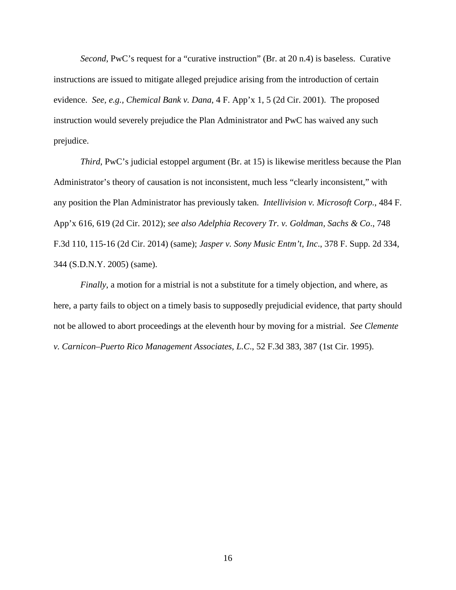*Second*, PwC's request for a "curative instruction" (Br. at 20 n.4) is baseless. Curative instructions are issued to mitigate alleged prejudice arising from the introduction of certain evidence. *See, e.g., Chemical Bank v. Dana*, 4 F. App'x 1, 5 (2d Cir. 2001). The proposed instruction would severely prejudice the Plan Administrator and PwC has waived any such prejudice.

*Third*, PwC's judicial estoppel argument (Br. at 15) is likewise meritless because the Plan Administrator's theory of causation is not inconsistent, much less "clearly inconsistent," with any position the Plan Administrator has previously taken. *Intellivision v. Microsoft Corp.*, 484 F. App'x 616, 619 (2d Cir. 2012); *see also Adelphia Recovery Tr. v. Goldman, Sachs & Co*., 748 F.3d 110, 115-16 (2d Cir. 2014) (same); *Jasper v. Sony Music Entm't, Inc*., 378 F. Supp. 2d 334, 344 (S.D.N.Y. 2005) (same).

*Finally*, a motion for a mistrial is not a substitute for a timely objection, and where, as here, a party fails to object on a timely basis to supposedly prejudicial evidence, that party should not be allowed to abort proceedings at the eleventh hour by moving for a mistrial. *See Clemente v. Carnicon–Puerto Rico Management Associates, L.C*., 52 F.3d 383, 387 (1st Cir. 1995).